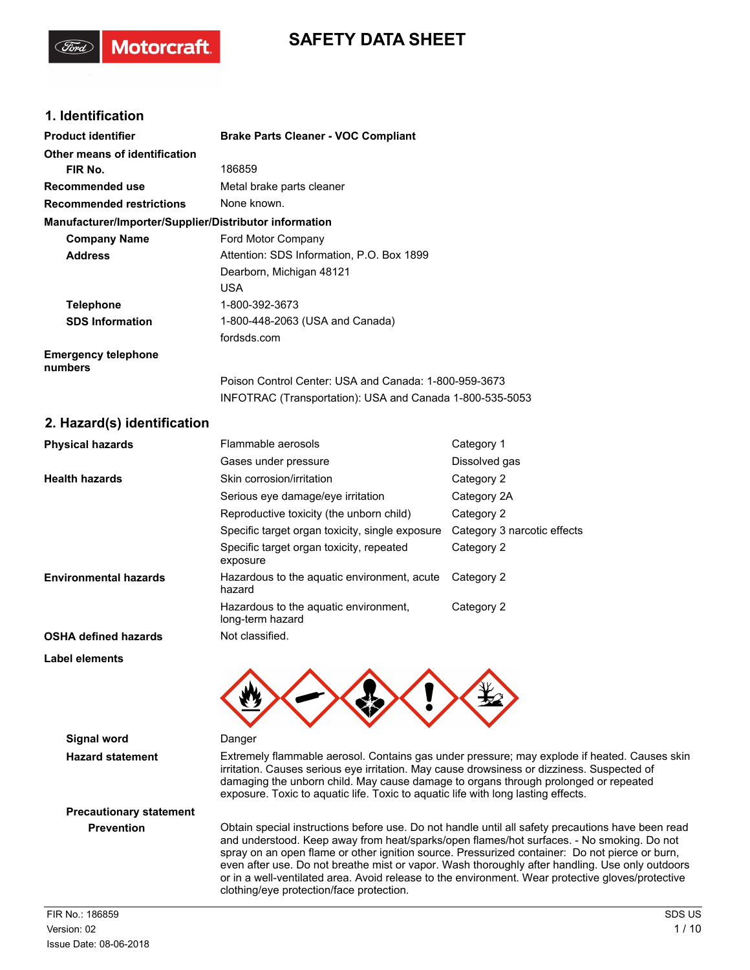# **SAFETY DATA SHEET**

## **1. Identification**

**Motorcraft** 

| <b>Product identifier</b>                              | <b>Brake Parts Cleaner - VOC Compliant</b>               |            |
|--------------------------------------------------------|----------------------------------------------------------|------------|
| Other means of identification                          |                                                          |            |
| FIR No.                                                | 186859                                                   |            |
| Recommended use                                        | Metal brake parts cleaner                                |            |
| <b>Recommended restrictions</b>                        | None known.                                              |            |
| Manufacturer/Importer/Supplier/Distributor information |                                                          |            |
| <b>Company Name</b>                                    | Ford Motor Company                                       |            |
| <b>Address</b>                                         | Attention: SDS Information, P.O. Box 1899                |            |
|                                                        | Dearborn, Michigan 48121                                 |            |
|                                                        | <b>USA</b>                                               |            |
| <b>Telephone</b>                                       | 1-800-392-3673                                           |            |
| <b>SDS Information</b>                                 | 1-800-448-2063 (USA and Canada)                          |            |
|                                                        | fordsds.com                                              |            |
| <b>Emergency telephone</b><br>numbers                  |                                                          |            |
|                                                        | Poison Control Center: USA and Canada: 1-800-959-3673    |            |
|                                                        | INFOTRAC (Transportation): USA and Canada 1-800-535-5053 |            |
| 2. Hazard(s) identification                            |                                                          |            |
| <b>Physical hazards</b>                                | Flammable aerosols                                       | Category 1 |

## Gases under pressure Dissolved gas **Health hazards Skin corrosion/irritation Scategory 2** Category 2 Serious eye damage/eye irritation Category 2A Reproductive toxicity (the unborn child) Category 2 Specific target organ toxicity, single exposure Category 3 narcotic effects Specific target organ toxicity, repeated Category 2 exposure Hazardous to the aquatic environment, acute Category 2 hazard **Environmental hazards** Hazardous to the aquatic environment, Category 2 long-term hazard **OSHA defined hazards** Not classified.

#### **Label elements**



**Signal word** Danger

**Hazard statement** Extremely flammable aerosol. Contains gas under pressure; may explode if heated. Causes skin irritation. Causes serious eye irritation. May cause drowsiness or dizziness. Suspected of damaging the unborn child. May cause damage to organs through prolonged or repeated exposure. Toxic to aquatic life. Toxic to aquatic life with long lasting effects.

**Precautionary statement**

**Prevention** Obtain special instructions before use. Do not handle until all safety precautions have been read and understood. Keep away from heat/sparks/open flames/hot surfaces. - No smoking. Do not spray on an open flame or other ignition source. Pressurized container: Do not pierce or burn, even after use. Do not breathe mist or vapor. Wash thoroughly after handling. Use only outdoors or in a well-ventilated area. Avoid release to the environment. Wear protective gloves/protective clothing/eye protection/face protection.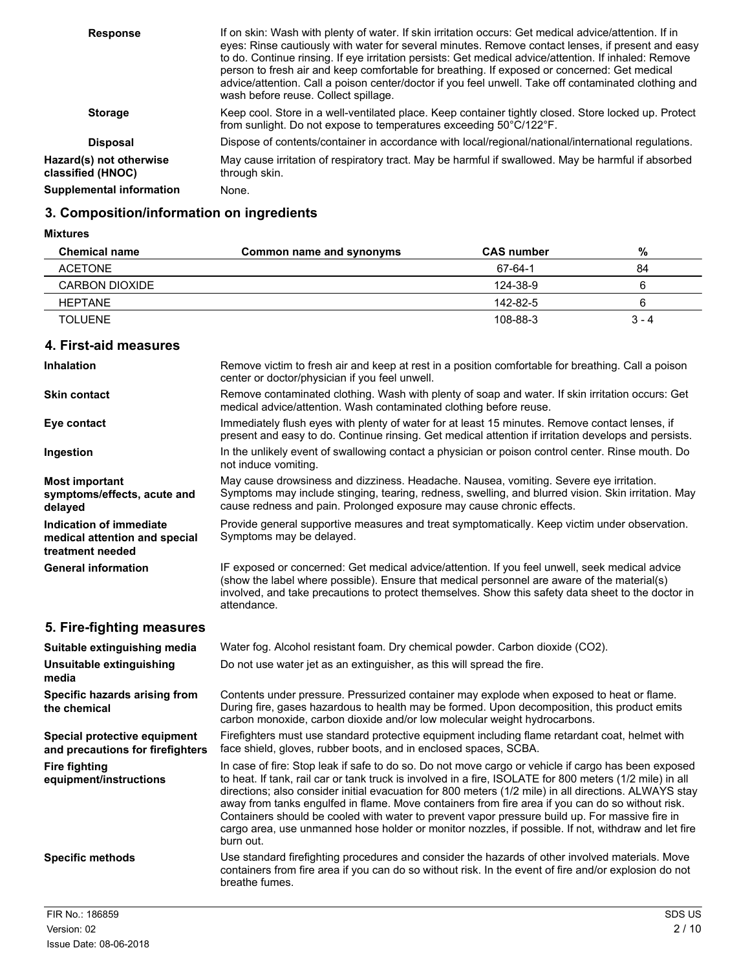| <b>Response</b>                              | If on skin: Wash with plenty of water. If skin irritation occurs: Get medical advice/attention. If in<br>eyes: Rinse cautiously with water for several minutes. Remove contact lenses, if present and easy<br>to do. Continue rinsing. If eye irritation persists: Get medical advice/attention. If inhaled: Remove<br>person to fresh air and keep comfortable for breathing. If exposed or concerned: Get medical<br>advice/attention. Call a poison center/doctor if you feel unwell. Take off contaminated clothing and<br>wash before reuse. Collect spillage. |
|----------------------------------------------|---------------------------------------------------------------------------------------------------------------------------------------------------------------------------------------------------------------------------------------------------------------------------------------------------------------------------------------------------------------------------------------------------------------------------------------------------------------------------------------------------------------------------------------------------------------------|
| <b>Storage</b>                               | Keep cool. Store in a well-ventilated place. Keep container tightly closed. Store locked up. Protect<br>from sunlight. Do not expose to temperatures exceeding 50°C/122°F.                                                                                                                                                                                                                                                                                                                                                                                          |
| <b>Disposal</b>                              | Dispose of contents/container in accordance with local/regional/national/international regulations.                                                                                                                                                                                                                                                                                                                                                                                                                                                                 |
| Hazard(s) not otherwise<br>classified (HNOC) | May cause irritation of respiratory tract. May be harmful if swallowed. May be harmful if absorbed<br>through skin.                                                                                                                                                                                                                                                                                                                                                                                                                                                 |
| Supplemental information                     | None.                                                                                                                                                                                                                                                                                                                                                                                                                                                                                                                                                               |

# **3. Composition/information on ingredients**

**Mixtures**

| <b>Chemical name</b> | Common name and synonyms | <b>CAS</b> number | %       |
|----------------------|--------------------------|-------------------|---------|
| <b>ACETONE</b>       |                          | 67-64-1           | 84      |
| CARBON DIOXIDE       |                          | 124-38-9          | 6       |
| <b>HFPTANF</b>       |                          | 142-82-5          | 6       |
| <b>TOLUENE</b>       |                          | 108-88-3          | $3 - 4$ |

## **4. First-aid measures**

| <b>Inhalation</b>                                                            | Remove victim to fresh air and keep at rest in a position comfortable for breathing. Call a poison<br>center or doctor/physician if you feel unwell.                                                                                                                                                                                                                                                                                                                                                                                                                                                                                               |
|------------------------------------------------------------------------------|----------------------------------------------------------------------------------------------------------------------------------------------------------------------------------------------------------------------------------------------------------------------------------------------------------------------------------------------------------------------------------------------------------------------------------------------------------------------------------------------------------------------------------------------------------------------------------------------------------------------------------------------------|
| Skin contact                                                                 | Remove contaminated clothing. Wash with plenty of soap and water. If skin irritation occurs: Get<br>medical advice/attention. Wash contaminated clothing before reuse.                                                                                                                                                                                                                                                                                                                                                                                                                                                                             |
| Eye contact                                                                  | Immediately flush eyes with plenty of water for at least 15 minutes. Remove contact lenses, if<br>present and easy to do. Continue rinsing. Get medical attention if irritation develops and persists.                                                                                                                                                                                                                                                                                                                                                                                                                                             |
| Ingestion                                                                    | In the unlikely event of swallowing contact a physician or poison control center. Rinse mouth. Do<br>not induce vomiting.                                                                                                                                                                                                                                                                                                                                                                                                                                                                                                                          |
| <b>Most important</b><br>symptoms/effects, acute and<br>delayed              | May cause drowsiness and dizziness. Headache. Nausea, vomiting. Severe eye irritation.<br>Symptoms may include stinging, tearing, redness, swelling, and blurred vision. Skin irritation. May<br>cause redness and pain. Prolonged exposure may cause chronic effects.                                                                                                                                                                                                                                                                                                                                                                             |
| Indication of immediate<br>medical attention and special<br>treatment needed | Provide general supportive measures and treat symptomatically. Keep victim under observation.<br>Symptoms may be delayed.                                                                                                                                                                                                                                                                                                                                                                                                                                                                                                                          |
| <b>General information</b>                                                   | IF exposed or concerned: Get medical advice/attention. If you feel unwell, seek medical advice<br>(show the label where possible). Ensure that medical personnel are aware of the material(s)<br>involved, and take precautions to protect themselves. Show this safety data sheet to the doctor in<br>attendance.                                                                                                                                                                                                                                                                                                                                 |
| 5. Fire-fighting measures                                                    |                                                                                                                                                                                                                                                                                                                                                                                                                                                                                                                                                                                                                                                    |
| Suitable extinguishing media                                                 | Water fog. Alcohol resistant foam. Dry chemical powder. Carbon dioxide (CO2).                                                                                                                                                                                                                                                                                                                                                                                                                                                                                                                                                                      |
| Unsuitable extinguishing<br>media                                            | Do not use water jet as an extinguisher, as this will spread the fire.                                                                                                                                                                                                                                                                                                                                                                                                                                                                                                                                                                             |
| Specific hazards arising from<br>the chemical                                | Contents under pressure. Pressurized container may explode when exposed to heat or flame.<br>During fire, gases hazardous to health may be formed. Upon decomposition, this product emits<br>carbon monoxide, carbon dioxide and/or low molecular weight hydrocarbons.                                                                                                                                                                                                                                                                                                                                                                             |
| Special protective equipment<br>and precautions for firefighters             | Firefighters must use standard protective equipment including flame retardant coat, helmet with<br>face shield, gloves, rubber boots, and in enclosed spaces, SCBA.                                                                                                                                                                                                                                                                                                                                                                                                                                                                                |
| <b>Fire fighting</b><br>equipment/instructions                               | In case of fire: Stop leak if safe to do so. Do not move cargo or vehicle if cargo has been exposed<br>to heat. If tank, rail car or tank truck is involved in a fire, ISOLATE for 800 meters (1/2 mile) in all<br>directions; also consider initial evacuation for 800 meters (1/2 mile) in all directions. ALWAYS stay<br>away from tanks engulfed in flame. Move containers from fire area if you can do so without risk.<br>Containers should be cooled with water to prevent vapor pressure build up. For massive fire in<br>cargo area, use unmanned hose holder or monitor nozzles, if possible. If not, withdraw and let fire<br>burn out. |
| <b>Specific methods</b>                                                      | Use standard firefighting procedures and consider the hazards of other involved materials. Move<br>containers from fire area if you can do so without risk. In the event of fire and/or explosion do not<br>breathe fumes.                                                                                                                                                                                                                                                                                                                                                                                                                         |
| FIR No.: 186859                                                              | SDS US                                                                                                                                                                                                                                                                                                                                                                                                                                                                                                                                                                                                                                             |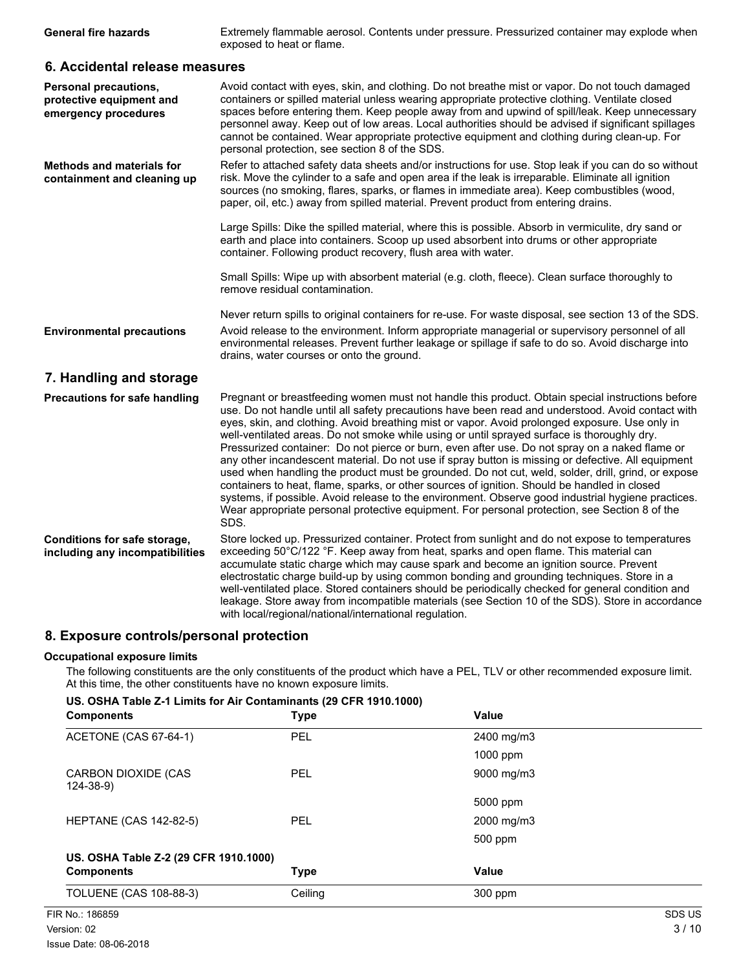Extremely flammable aerosol. Contents under pressure. Pressurized container may explode when exposed to heat or flame. **General fire hazards**

#### **6. Accidental release measures**

| <b>Personal precautions,</b><br>protective equipment and<br>emergency procedures | Avoid contact with eyes, skin, and clothing. Do not breathe mist or vapor. Do not touch damaged<br>containers or spilled material unless wearing appropriate protective clothing. Ventilate closed<br>spaces before entering them. Keep people away from and upwind of spill/leak. Keep unnecessary<br>personnel away. Keep out of low areas. Local authorities should be advised if significant spillages<br>cannot be contained. Wear appropriate protective equipment and clothing during clean-up. For<br>personal protection, see section 8 of the SDS.                                                                                                                                                                                                                                                                                                                                                                                                                                                                        |
|----------------------------------------------------------------------------------|-------------------------------------------------------------------------------------------------------------------------------------------------------------------------------------------------------------------------------------------------------------------------------------------------------------------------------------------------------------------------------------------------------------------------------------------------------------------------------------------------------------------------------------------------------------------------------------------------------------------------------------------------------------------------------------------------------------------------------------------------------------------------------------------------------------------------------------------------------------------------------------------------------------------------------------------------------------------------------------------------------------------------------------|
| <b>Methods and materials for</b><br>containment and cleaning up                  | Refer to attached safety data sheets and/or instructions for use. Stop leak if you can do so without<br>risk. Move the cylinder to a safe and open area if the leak is irreparable. Eliminate all ignition<br>sources (no smoking, flares, sparks, or flames in immediate area). Keep combustibles (wood,<br>paper, oil, etc.) away from spilled material. Prevent product from entering drains.                                                                                                                                                                                                                                                                                                                                                                                                                                                                                                                                                                                                                                    |
|                                                                                  | Large Spills: Dike the spilled material, where this is possible. Absorb in vermiculite, dry sand or<br>earth and place into containers. Scoop up used absorbent into drums or other appropriate<br>container. Following product recovery, flush area with water.                                                                                                                                                                                                                                                                                                                                                                                                                                                                                                                                                                                                                                                                                                                                                                    |
|                                                                                  | Small Spills: Wipe up with absorbent material (e.g. cloth, fleece). Clean surface thoroughly to<br>remove residual contamination.                                                                                                                                                                                                                                                                                                                                                                                                                                                                                                                                                                                                                                                                                                                                                                                                                                                                                                   |
| <b>Environmental precautions</b>                                                 | Never return spills to original containers for re-use. For waste disposal, see section 13 of the SDS.<br>Avoid release to the environment. Inform appropriate managerial or supervisory personnel of all<br>environmental releases. Prevent further leakage or spillage if safe to do so. Avoid discharge into<br>drains, water courses or onto the ground.                                                                                                                                                                                                                                                                                                                                                                                                                                                                                                                                                                                                                                                                         |
| 7. Handling and storage                                                          |                                                                                                                                                                                                                                                                                                                                                                                                                                                                                                                                                                                                                                                                                                                                                                                                                                                                                                                                                                                                                                     |
| <b>Precautions for safe handling</b>                                             | Pregnant or breastfeeding women must not handle this product. Obtain special instructions before<br>use. Do not handle until all safety precautions have been read and understood. Avoid contact with<br>eyes, skin, and clothing. Avoid breathing mist or vapor. Avoid prolonged exposure. Use only in<br>well-ventilated areas. Do not smoke while using or until sprayed surface is thoroughly dry.<br>Pressurized container: Do not pierce or burn, even after use. Do not spray on a naked flame or<br>any other incandescent material. Do not use if spray button is missing or defective. All equipment<br>used when handling the product must be grounded. Do not cut, weld, solder, drill, grind, or expose<br>containers to heat, flame, sparks, or other sources of ignition. Should be handled in closed<br>systems, if possible. Avoid release to the environment. Observe good industrial hygiene practices.<br>Wear appropriate personal protective equipment. For personal protection, see Section 8 of the<br>SDS. |
| Conditions for safe storage,<br>including any incompatibilities                  | Store locked up. Pressurized container. Protect from sunlight and do not expose to temperatures<br>exceeding 50°C/122 °F. Keep away from heat, sparks and open flame. This material can<br>accumulate static charge which may cause spark and become an ignition source. Prevent<br>electrostatic charge build-up by using common bonding and grounding techniques. Store in a<br>well-ventilated place. Stored containers should be periodically checked for general condition and<br>leakage. Store away from incompatible materials (see Section 10 of the SDS). Store in accordance<br>with local/regional/national/international regulation.                                                                                                                                                                                                                                                                                                                                                                                   |

### **8. Exposure controls/personal protection**

#### **Occupational exposure limits**

The following constituents are the only constituents of the product which have a PEL, TLV or other recommended exposure limit. At this time, the other constituents have no known exposure limits.

| US. OSHA Table Z-1 Limits for Air Contaminants (29 CFR 1910.1000) |             |              |
|-------------------------------------------------------------------|-------------|--------------|
| <b>Components</b>                                                 | Type        | Value        |
| ACETONE (CAS 67-64-1)                                             | PEL         | 2400 mg/m3   |
|                                                                   |             | 1000 ppm     |
| CARBON DIOXIDE (CAS<br>$124 - 38 - 9$                             | <b>PEL</b>  | 9000 mg/m3   |
|                                                                   |             | 5000 ppm     |
| <b>HEPTANE (CAS 142-82-5)</b>                                     | <b>PEL</b>  | 2000 mg/m3   |
|                                                                   |             | 500 ppm      |
| US. OSHA Table Z-2 (29 CFR 1910.1000)                             |             |              |
| <b>Components</b>                                                 | <b>Type</b> | <b>Value</b> |
| <b>TOLUENE (CAS 108-88-3)</b>                                     | Ceiling     | 300 ppm      |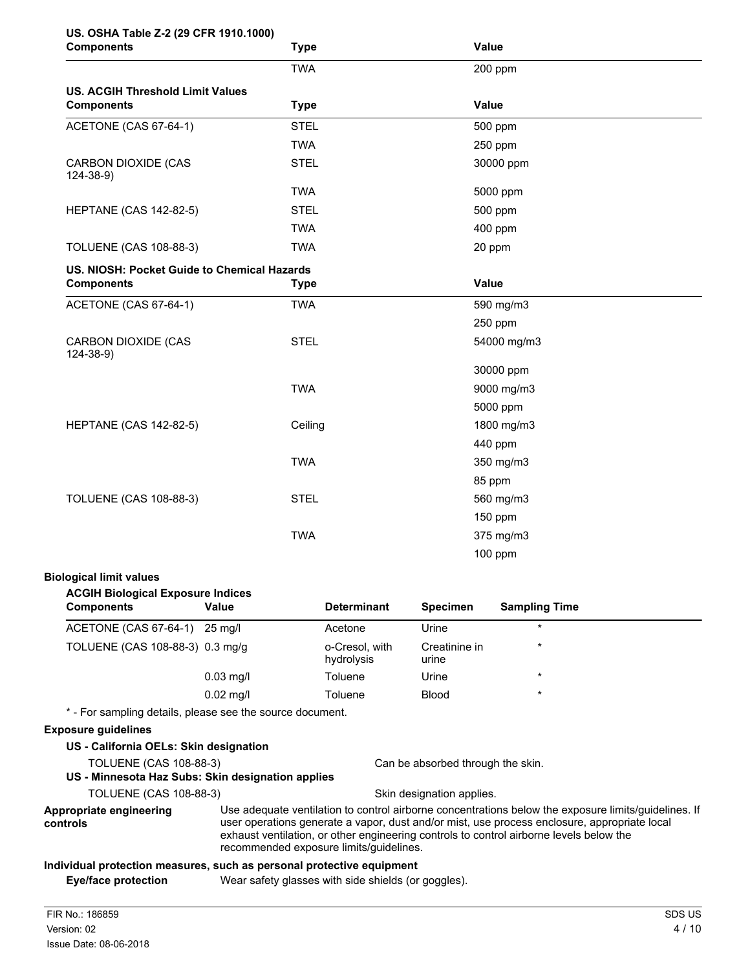| <b>Components</b>                                                                                   | <b>Type</b>                                         |                              |                                   | Value                                                                                                                                                                                                                                                                                           |
|-----------------------------------------------------------------------------------------------------|-----------------------------------------------------|------------------------------|-----------------------------------|-------------------------------------------------------------------------------------------------------------------------------------------------------------------------------------------------------------------------------------------------------------------------------------------------|
|                                                                                                     | <b>TWA</b>                                          |                              |                                   | 200 ppm                                                                                                                                                                                                                                                                                         |
| <b>US. ACGIH Threshold Limit Values</b>                                                             |                                                     |                              |                                   |                                                                                                                                                                                                                                                                                                 |
| <b>Components</b>                                                                                   | <b>Type</b>                                         |                              |                                   | Value                                                                                                                                                                                                                                                                                           |
| ACETONE (CAS 67-64-1)                                                                               | <b>STEL</b>                                         |                              |                                   | 500 ppm                                                                                                                                                                                                                                                                                         |
|                                                                                                     | <b>TWA</b>                                          |                              |                                   | 250 ppm                                                                                                                                                                                                                                                                                         |
| CARBON DIOXIDE (CAS<br>$124 - 38 - 9$                                                               | <b>STEL</b>                                         |                              |                                   | 30000 ppm                                                                                                                                                                                                                                                                                       |
|                                                                                                     | <b>TWA</b>                                          |                              |                                   | 5000 ppm                                                                                                                                                                                                                                                                                        |
| <b>HEPTANE (CAS 142-82-5)</b>                                                                       | <b>STEL</b>                                         |                              |                                   | 500 ppm                                                                                                                                                                                                                                                                                         |
|                                                                                                     | <b>TWA</b>                                          |                              |                                   | 400 ppm                                                                                                                                                                                                                                                                                         |
| <b>TOLUENE (CAS 108-88-3)</b>                                                                       | <b>TWA</b>                                          |                              |                                   | 20 ppm                                                                                                                                                                                                                                                                                          |
| US. NIOSH: Pocket Guide to Chemical Hazards                                                         |                                                     |                              |                                   |                                                                                                                                                                                                                                                                                                 |
| <b>Components</b>                                                                                   | <b>Type</b>                                         |                              |                                   | Value                                                                                                                                                                                                                                                                                           |
| ACETONE (CAS 67-64-1)                                                                               | <b>TWA</b>                                          |                              |                                   | 590 mg/m3                                                                                                                                                                                                                                                                                       |
|                                                                                                     |                                                     |                              |                                   | 250 ppm                                                                                                                                                                                                                                                                                         |
| CARBON DIOXIDE (CAS<br>$124 - 38 - 9$                                                               | <b>STEL</b>                                         |                              |                                   | 54000 mg/m3                                                                                                                                                                                                                                                                                     |
|                                                                                                     |                                                     |                              |                                   | 30000 ppm                                                                                                                                                                                                                                                                                       |
|                                                                                                     | <b>TWA</b>                                          |                              |                                   | 9000 mg/m3                                                                                                                                                                                                                                                                                      |
|                                                                                                     |                                                     |                              |                                   | 5000 ppm                                                                                                                                                                                                                                                                                        |
| <b>HEPTANE (CAS 142-82-5)</b>                                                                       | Ceiling                                             |                              |                                   | 1800 mg/m3                                                                                                                                                                                                                                                                                      |
|                                                                                                     |                                                     |                              |                                   | 440 ppm                                                                                                                                                                                                                                                                                         |
|                                                                                                     | <b>TWA</b>                                          |                              |                                   | 350 mg/m3                                                                                                                                                                                                                                                                                       |
|                                                                                                     |                                                     |                              |                                   | 85 ppm                                                                                                                                                                                                                                                                                          |
| <b>TOLUENE (CAS 108-88-3)</b>                                                                       | <b>STEL</b>                                         |                              |                                   | 560 mg/m3                                                                                                                                                                                                                                                                                       |
|                                                                                                     |                                                     |                              |                                   | 150 ppm                                                                                                                                                                                                                                                                                         |
|                                                                                                     | <b>TWA</b>                                          |                              |                                   | 375 mg/m3                                                                                                                                                                                                                                                                                       |
|                                                                                                     |                                                     |                              |                                   | $100$ ppm                                                                                                                                                                                                                                                                                       |
| <b>Biological limit values</b>                                                                      |                                                     |                              |                                   |                                                                                                                                                                                                                                                                                                 |
| <b>ACGIH Biological Exposure Indices</b><br><b>Components</b>                                       | Value                                               | <b>Determinant</b>           | <b>Specimen</b>                   | <b>Sampling Time</b>                                                                                                                                                                                                                                                                            |
|                                                                                                     |                                                     |                              |                                   | $\star$                                                                                                                                                                                                                                                                                         |
| ACETONE (CAS 67-64-1) 25 mg/l                                                                       |                                                     | Acetone                      | Urine                             |                                                                                                                                                                                                                                                                                                 |
| TOLUENE (CAS 108-88-3) 0.3 mg/g                                                                     |                                                     | o-Cresol, with<br>hydrolysis | Creatinine in<br>urine            |                                                                                                                                                                                                                                                                                                 |
|                                                                                                     | $0.03$ mg/l                                         | Toluene                      | Urine                             |                                                                                                                                                                                                                                                                                                 |
|                                                                                                     | $0.02$ mg/l                                         | Toluene                      | Blood                             |                                                                                                                                                                                                                                                                                                 |
| * - For sampling details, please see the source document.                                           |                                                     |                              |                                   |                                                                                                                                                                                                                                                                                                 |
| <b>Exposure guidelines</b>                                                                          |                                                     |                              |                                   |                                                                                                                                                                                                                                                                                                 |
| US - California OELs: Skin designation                                                              |                                                     |                              |                                   |                                                                                                                                                                                                                                                                                                 |
| <b>TOLUENE (CAS 108-88-3)</b><br>US - Minnesota Haz Subs: Skin designation applies                  |                                                     |                              | Can be absorbed through the skin. |                                                                                                                                                                                                                                                                                                 |
| <b>TOLUENE (CAS 108-88-3)</b>                                                                       |                                                     |                              | Skin designation applies.         |                                                                                                                                                                                                                                                                                                 |
| Appropriate engineering<br>controls                                                                 | recommended exposure limits/guidelines.             |                              |                                   | Use adequate ventilation to control airborne concentrations below the exposure limits/guidelines. If<br>user operations generate a vapor, dust and/or mist, use process enclosure, appropriate local<br>exhaust ventilation, or other engineering controls to control airborne levels below the |
| Individual protection measures, such as personal protective equipment<br><b>Eye/face protection</b> | Wear safety glasses with side shields (or goggles). |                              |                                   |                                                                                                                                                                                                                                                                                                 |
|                                                                                                     |                                                     |                              |                                   |                                                                                                                                                                                                                                                                                                 |
| FIR No.: 186859                                                                                     |                                                     |                              |                                   | SDS US                                                                                                                                                                                                                                                                                          |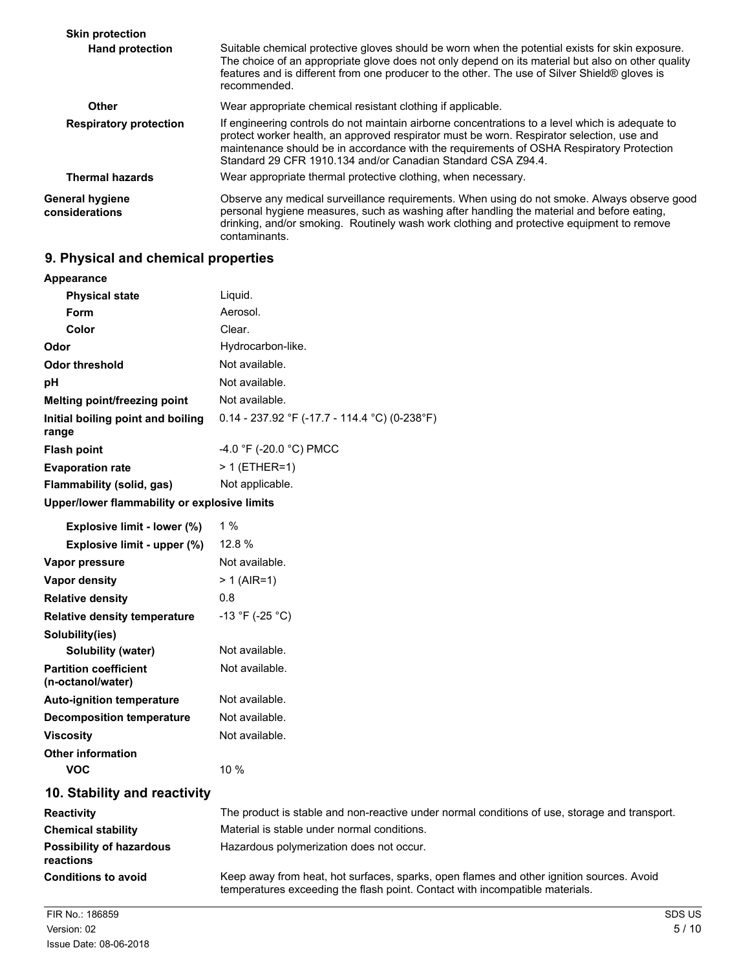| <b>Skin protection</b>                   |                                                                                                                                                                                                                                                                                                                                                          |
|------------------------------------------|----------------------------------------------------------------------------------------------------------------------------------------------------------------------------------------------------------------------------------------------------------------------------------------------------------------------------------------------------------|
| <b>Hand protection</b>                   | Suitable chemical protective gloves should be worn when the potential exists for skin exposure.<br>The choice of an appropriate glove does not only depend on its material but also on other quality<br>features and is different from one producer to the other. The use of Silver Shield® gloves is<br>recommended.                                    |
| Other                                    | Wear appropriate chemical resistant clothing if applicable.                                                                                                                                                                                                                                                                                              |
| <b>Respiratory protection</b>            | If engineering controls do not maintain airborne concentrations to a level which is adequate to<br>protect worker health, an approved respirator must be worn. Respirator selection, use and<br>maintenance should be in accordance with the requirements of OSHA Respiratory Protection<br>Standard 29 CFR 1910.134 and/or Canadian Standard CSA 794.4. |
| <b>Thermal hazards</b>                   | Wear appropriate thermal protective clothing, when necessary.                                                                                                                                                                                                                                                                                            |
| <b>General hygiene</b><br>considerations | Observe any medical surveillance requirements. When using do not smoke. Always observe good<br>personal hygiene measures, such as washing after handling the material and before eating,<br>drinking, and/or smoking. Routinely wash work clothing and protective equipment to remove<br>contaminants.                                                   |

# **9. Physical and chemical properties**

| Appearance                                   |                                                  |
|----------------------------------------------|--------------------------------------------------|
| <b>Physical state</b>                        | Liquid.                                          |
| Form                                         | Aerosol.                                         |
| Color                                        | Clear.                                           |
| Odor                                         | Hydrocarbon-like.                                |
| <b>Odor threshold</b>                        | Not available.                                   |
| рH                                           | Not available.                                   |
| Melting point/freezing point                 | Not available.                                   |
| Initial boiling point and boiling<br>range   | $0.14 - 237.92$ °F (-17.7 - 114.4 °C) (0-238 °F) |
| <b>Flash point</b>                           | $-4.0$ °F (-20.0 °C) PMCC                        |
| <b>Evaporation rate</b>                      | $> 1$ (ETHER=1)                                  |
| Flammability (solid, gas)                    | Not applicable.                                  |
| Unner/Jower flammability or explosive limits |                                                  |

## **Upper/lower flammability or explosive limits**

| Explosive limit - lower (%)                       | 1%                                                                                                                                                                       |
|---------------------------------------------------|--------------------------------------------------------------------------------------------------------------------------------------------------------------------------|
| Explosive limit - upper (%)                       | 12.8 %                                                                                                                                                                   |
| Vapor pressure                                    | Not available.                                                                                                                                                           |
| Vapor density                                     | $> 1$ (AIR=1)                                                                                                                                                            |
| <b>Relative density</b>                           | 0.8                                                                                                                                                                      |
| <b>Relative density temperature</b>               | -13 $\degree$ F (-25 $\degree$ C)                                                                                                                                        |
| Solubility(ies)                                   |                                                                                                                                                                          |
| Solubility (water)                                | Not available.                                                                                                                                                           |
| <b>Partition coefficient</b><br>(n-octanol/water) | Not available.                                                                                                                                                           |
| <b>Auto-ignition temperature</b>                  | Not available.                                                                                                                                                           |
| Decomposition temperature                         | Not available.                                                                                                                                                           |
| <b>Viscosity</b>                                  | Not available.                                                                                                                                                           |
| <b>Other information</b>                          |                                                                                                                                                                          |
| <b>VOC</b>                                        | 10%                                                                                                                                                                      |
| 10. Stability and reactivity                      |                                                                                                                                                                          |
| <b>Reactivity</b>                                 | The product is stable and non-reactive under normal conditions of use, storage and transport.                                                                            |
| <b>Chemical stability</b>                         | Material is stable under normal conditions.                                                                                                                              |
| Possibility of hazardous<br>reactions             | Hazardous polymerization does not occur.                                                                                                                                 |
| <b>Conditions to avoid</b>                        | Keep away from heat, hot surfaces, sparks, open flames and other ignition sources. Avoid<br>temperatures exceeding the flash point. Contact with incompatible materials. |
| FIR No.: 186859                                   | SDS US                                                                                                                                                                   |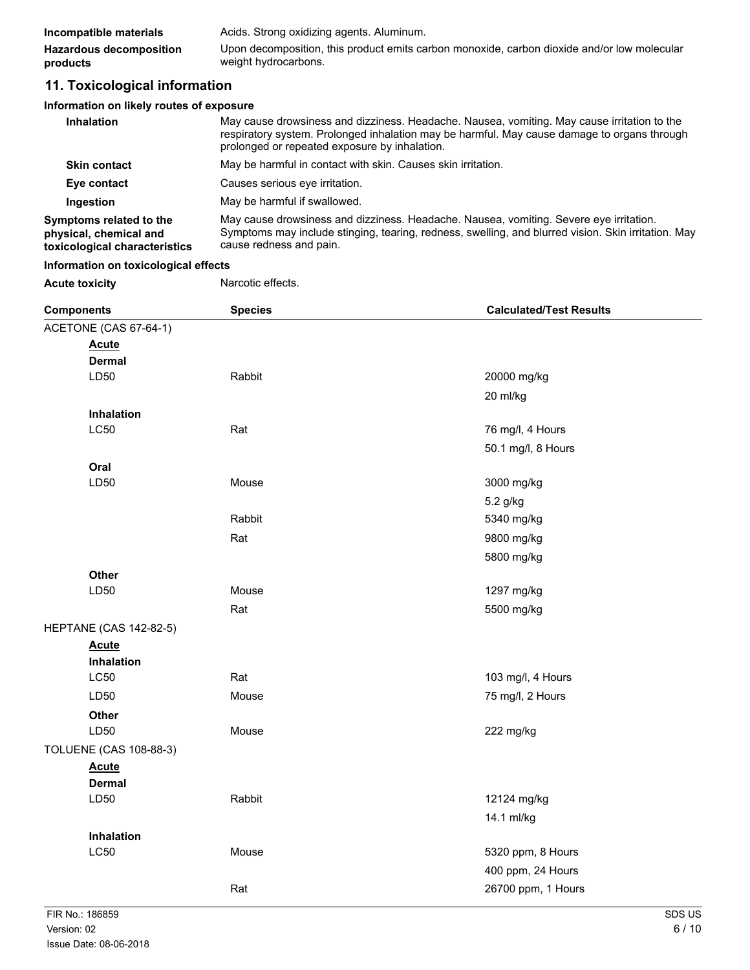| Incompatible materials         | Acids. Strong oxidizing agents. Aluminum.                                                   |
|--------------------------------|---------------------------------------------------------------------------------------------|
| <b>Hazardous decomposition</b> | Upon decomposition, this product emits carbon monoxide, carbon dioxide and/or low molecular |
| products                       | weight hydrocarbons.                                                                        |

# **11. Toxicological information**

## **Information on likely routes of exposure**

| <b>Inhalation</b>                                                                  | May cause drowsiness and dizziness. Headache. Nausea, vomiting. May cause irritation to the<br>respiratory system. Prolonged inhalation may be harmful. May cause damage to organs through<br>prolonged or repeated exposure by inhalation. |
|------------------------------------------------------------------------------------|---------------------------------------------------------------------------------------------------------------------------------------------------------------------------------------------------------------------------------------------|
| <b>Skin contact</b>                                                                | May be harmful in contact with skin. Causes skin irritation.                                                                                                                                                                                |
| Eye contact                                                                        | Causes serious eve irritation.                                                                                                                                                                                                              |
| Ingestion                                                                          | May be harmful if swallowed.                                                                                                                                                                                                                |
| Symptoms related to the<br>physical, chemical and<br>toxicological characteristics | May cause drowsiness and dizziness. Headache. Nausea, vomiting. Severe eye irritation.<br>Symptoms may include stinging, tearing, redness, swelling, and blurred vision. Skin irritation. May<br>cause redness and pain.                    |

## **Information on toxicological effects**

Acute toxicity **Narcotic effects**.

| <b>Components</b>             | <b>Species</b> | <b>Calculated/Test Results</b> |
|-------------------------------|----------------|--------------------------------|
| ACETONE (CAS 67-64-1)         |                |                                |
| <b>Acute</b>                  |                |                                |
| <b>Dermal</b>                 |                |                                |
| LD50                          | Rabbit         | 20000 mg/kg                    |
|                               |                | 20 ml/kg                       |
| Inhalation                    |                |                                |
| LC50                          | Rat            | 76 mg/l, 4 Hours               |
|                               |                | 50.1 mg/l, 8 Hours             |
| Oral                          |                |                                |
| LD50                          | Mouse          | 3000 mg/kg                     |
|                               |                | 5.2 g/kg                       |
|                               | Rabbit         | 5340 mg/kg                     |
|                               | Rat            | 9800 mg/kg                     |
|                               |                | 5800 mg/kg                     |
| Other                         |                |                                |
| LD50                          | Mouse          | 1297 mg/kg                     |
|                               | Rat            | 5500 mg/kg                     |
| <b>HEPTANE (CAS 142-82-5)</b> |                |                                |
| <b>Acute</b>                  |                |                                |
| Inhalation                    |                |                                |
| <b>LC50</b>                   | Rat            | 103 mg/l, 4 Hours              |
| LD50                          | Mouse          | 75 mg/l, 2 Hours               |
| Other                         |                |                                |
| LD50                          | Mouse          | 222 mg/kg                      |
| <b>TOLUENE (CAS 108-88-3)</b> |                |                                |
| <b>Acute</b>                  |                |                                |
| <b>Dermal</b>                 |                |                                |
| LD50                          | Rabbit         | 12124 mg/kg                    |
|                               |                | 14.1 ml/kg                     |
| Inhalation                    |                |                                |
| <b>LC50</b>                   | Mouse          | 5320 ppm, 8 Hours              |
|                               |                | 400 ppm, 24 Hours              |
|                               | Rat            | 26700 ppm, 1 Hours             |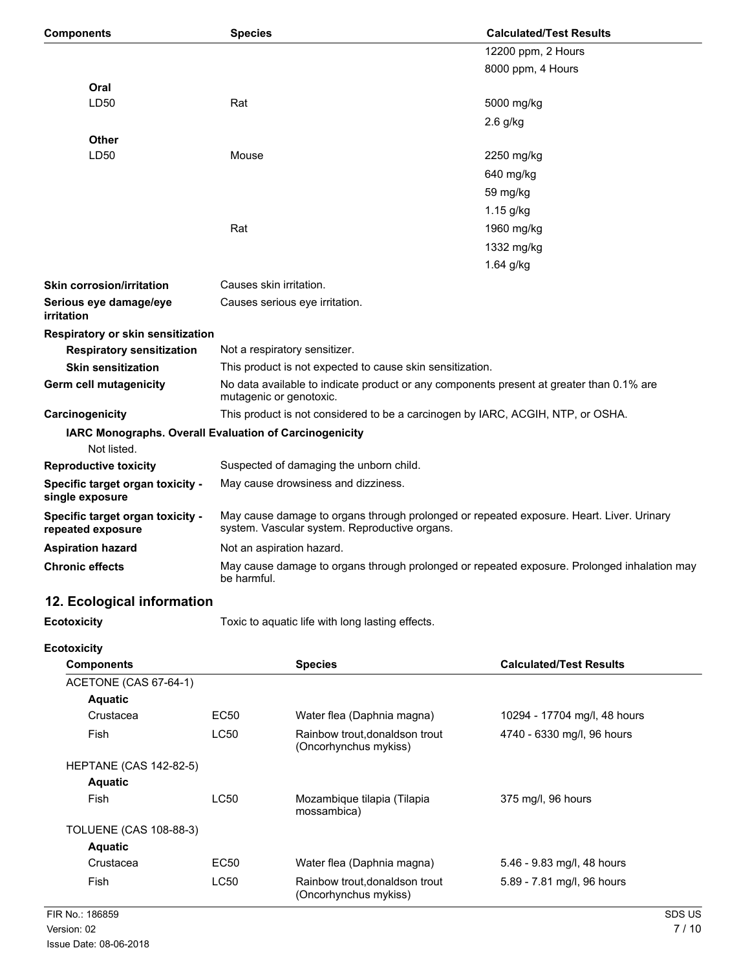| <b>Components</b>                                     | <b>Species</b>                                                                                                                            | <b>Calculated/Test Results</b> |
|-------------------------------------------------------|-------------------------------------------------------------------------------------------------------------------------------------------|--------------------------------|
|                                                       |                                                                                                                                           | 12200 ppm, 2 Hours             |
|                                                       |                                                                                                                                           | 8000 ppm, 4 Hours              |
| Oral                                                  |                                                                                                                                           |                                |
| LD <sub>50</sub>                                      | Rat                                                                                                                                       | 5000 mg/kg                     |
|                                                       |                                                                                                                                           | $2.6$ g/kg                     |
| <b>Other</b>                                          |                                                                                                                                           |                                |
| LD50                                                  | Mouse                                                                                                                                     | 2250 mg/kg                     |
|                                                       |                                                                                                                                           | 640 mg/kg                      |
|                                                       |                                                                                                                                           | 59 mg/kg                       |
|                                                       |                                                                                                                                           | 1.15 g/kg                      |
|                                                       | Rat                                                                                                                                       | 1960 mg/kg                     |
|                                                       |                                                                                                                                           | 1332 mg/kg                     |
|                                                       |                                                                                                                                           | 1.64 g/kg                      |
| <b>Skin corrosion/irritation</b>                      | Causes skin irritation.                                                                                                                   |                                |
| Serious eye damage/eye<br>irritation                  | Causes serious eye irritation.                                                                                                            |                                |
| Respiratory or skin sensitization                     |                                                                                                                                           |                                |
| <b>Respiratory sensitization</b>                      | Not a respiratory sensitizer.                                                                                                             |                                |
| <b>Skin sensitization</b>                             | This product is not expected to cause skin sensitization.                                                                                 |                                |
| Germ cell mutagenicity                                | No data available to indicate product or any components present at greater than 0.1% are<br>mutagenic or genotoxic.                       |                                |
| Carcinogenicity                                       | This product is not considered to be a carcinogen by IARC, ACGIH, NTP, or OSHA.                                                           |                                |
|                                                       | <b>IARC Monographs. Overall Evaluation of Carcinogenicity</b>                                                                             |                                |
| Not listed.                                           |                                                                                                                                           |                                |
| <b>Reproductive toxicity</b>                          | Suspected of damaging the unborn child.                                                                                                   |                                |
| Specific target organ toxicity -<br>single exposure   | May cause drowsiness and dizziness.                                                                                                       |                                |
| Specific target organ toxicity -<br>repeated exposure | May cause damage to organs through prolonged or repeated exposure. Heart. Liver. Urinary<br>system. Vascular system. Reproductive organs. |                                |
| <b>Aspiration hazard</b>                              | Not an aspiration hazard.                                                                                                                 |                                |
| <b>Chronic effects</b>                                | May cause damage to organs through prolonged or repeated exposure. Prolonged inhalation may<br>be harmful.                                |                                |

# **12. Ecological information**

**Ecotoxicity** Toxic to aquatic life with long lasting effects.

**Ecotoxicity**

| <b>Components</b>             |             | <b>Species</b>                                          | <b>Calculated/Test Results</b> |
|-------------------------------|-------------|---------------------------------------------------------|--------------------------------|
| ACETONE (CAS 67-64-1)         |             |                                                         |                                |
| <b>Aquatic</b>                |             |                                                         |                                |
| Crustacea                     | EC50        | Water flea (Daphnia magna)                              | 10294 - 17704 mg/l, 48 hours   |
| Fish                          | <b>LC50</b> | Rainbow trout, donaldson trout<br>(Oncorhynchus mykiss) | 4740 - 6330 mg/l, 96 hours     |
| <b>HEPTANE (CAS 142-82-5)</b> |             |                                                         |                                |
| <b>Aquatic</b>                |             |                                                         |                                |
| Fish                          | LC50        | Mozambique tilapia (Tilapia<br>mossambica)              | 375 mg/l, 96 hours             |
| TOLUENE (CAS 108-88-3)        |             |                                                         |                                |
| Aquatic                       |             |                                                         |                                |
| Crustacea                     | EC50        | Water flea (Daphnia magna)                              | 5.46 - 9.83 mg/l, 48 hours     |
| Fish                          | <b>LC50</b> | Rainbow trout, donaldson trout<br>(Oncorhynchus mykiss) | 5.89 - 7.81 mg/l, 96 hours     |
| FIR No.: 186859               |             |                                                         | SDS US                         |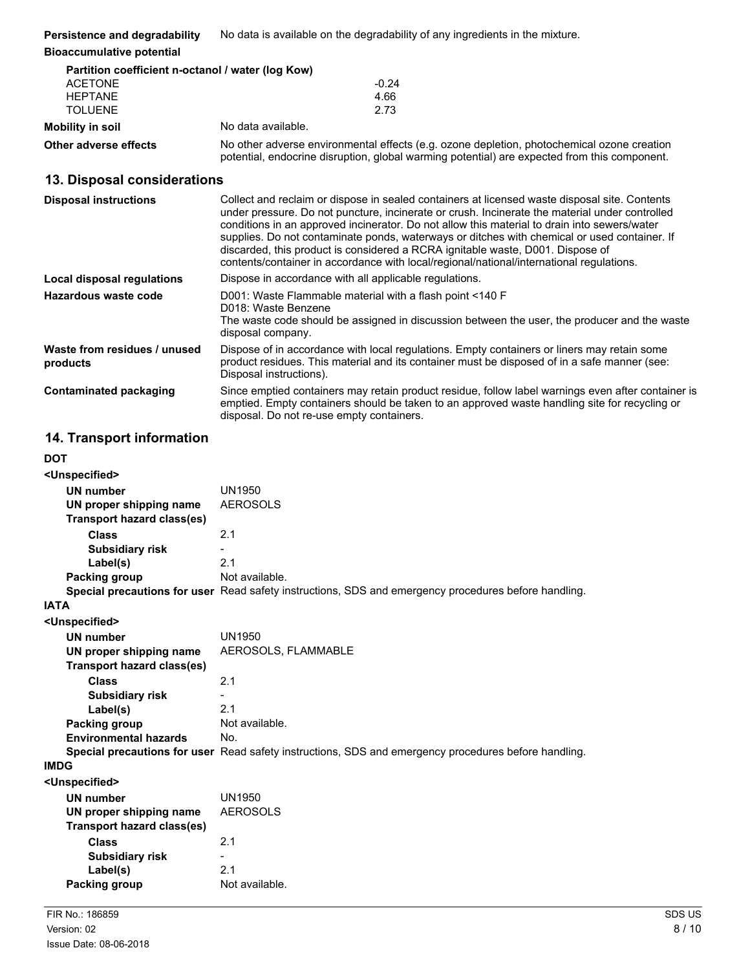| Persistence and degradability                                                                                 | No data is available on the degradability of any ingredients in the mixture. |
|---------------------------------------------------------------------------------------------------------------|------------------------------------------------------------------------------|
| the common contract of the common contract of the common contract of the common contract of the common common |                                                                              |

**Bioaccumulative potential**

|                       | Partition coefficient n-octanol / water (log Kow)                                          |
|-----------------------|--------------------------------------------------------------------------------------------|
| <b>ACETONE</b>        | $-0.24$                                                                                    |
| <b>HEPTANE</b>        | 4.66                                                                                       |
| <b>TOLUENE</b>        | 2.73                                                                                       |
| Mobility in soil      | No data available.                                                                         |
| Other adverse effects | No other adverse environmental effects (e.g. ozone depletion, photochemical ozone creation |

potential, endocrine disruption, global warming potential) are expected from this component.

# **13. Disposal considerations**

| <b>Disposal instructions</b>             | Collect and reclaim or dispose in sealed containers at licensed waste disposal site. Contents<br>under pressure. Do not puncture, incinerate or crush. Incinerate the material under controlled<br>conditions in an approved incinerator. Do not allow this material to drain into sewers/water<br>supplies. Do not contaminate ponds, waterways or ditches with chemical or used container. If<br>discarded, this product is considered a RCRA ignitable waste, D001. Dispose of<br>contents/container in accordance with local/regional/national/international regulations. |
|------------------------------------------|-------------------------------------------------------------------------------------------------------------------------------------------------------------------------------------------------------------------------------------------------------------------------------------------------------------------------------------------------------------------------------------------------------------------------------------------------------------------------------------------------------------------------------------------------------------------------------|
| Local disposal regulations               | Dispose in accordance with all applicable regulations.                                                                                                                                                                                                                                                                                                                                                                                                                                                                                                                        |
| Hazardous waste code                     | D001: Waste Flammable material with a flash point <140 F<br>D018: Waste Benzene<br>The waste code should be assigned in discussion between the user, the producer and the waste<br>disposal company.                                                                                                                                                                                                                                                                                                                                                                          |
| Waste from residues / unused<br>products | Dispose of in accordance with local regulations. Empty containers or liners may retain some<br>product residues. This material and its container must be disposed of in a safe manner (see:<br>Disposal instructions).                                                                                                                                                                                                                                                                                                                                                        |
| Contaminated packaging                   | Since emptied containers may retain product residue, follow label warnings even after container is<br>emptied. Empty containers should be taken to an approved waste handling site for recycling or<br>disposal. Do not re-use empty containers.                                                                                                                                                                                                                                                                                                                              |

# **14. Transport information**

| <b>DOT</b>                        |                                                                                                      |
|-----------------------------------|------------------------------------------------------------------------------------------------------|
| <unspecified></unspecified>       |                                                                                                      |
| <b>UN number</b>                  | <b>UN1950</b>                                                                                        |
| UN proper shipping name           | <b>AEROSOLS</b>                                                                                      |
| <b>Transport hazard class(es)</b> |                                                                                                      |
| <b>Class</b>                      | 2.1                                                                                                  |
| <b>Subsidiary risk</b>            |                                                                                                      |
| Label(s)                          | 2.1                                                                                                  |
| Packing group                     | Not available.                                                                                       |
|                                   | Special precautions for user Read safety instructions, SDS and emergency procedures before handling. |
| IATA                              |                                                                                                      |
| <unspecified></unspecified>       |                                                                                                      |
| <b>UN number</b>                  | <b>UN1950</b>                                                                                        |
| UN proper shipping name           | AEROSOLS, FLAMMABLE                                                                                  |
| <b>Transport hazard class(es)</b> |                                                                                                      |
| <b>Class</b>                      | 2.1                                                                                                  |
| <b>Subsidiary risk</b>            |                                                                                                      |
| Label(s)                          | 2.1                                                                                                  |
| Packing group                     | Not available.                                                                                       |
| <b>Environmental hazards</b>      | No.                                                                                                  |
|                                   | Special precautions for user Read safety instructions, SDS and emergency procedures before handling. |
| IMDG                              |                                                                                                      |
| <unspecified></unspecified>       |                                                                                                      |
| <b>UN number</b>                  | <b>UN1950</b>                                                                                        |
| UN proper shipping name           | <b>AEROSOLS</b>                                                                                      |
| <b>Transport hazard class(es)</b> |                                                                                                      |
| <b>Class</b>                      | 2.1                                                                                                  |
| <b>Subsidiary risk</b>            |                                                                                                      |
| Label(s)                          | 2.1                                                                                                  |
| Packing group                     | Not available.                                                                                       |
|                                   |                                                                                                      |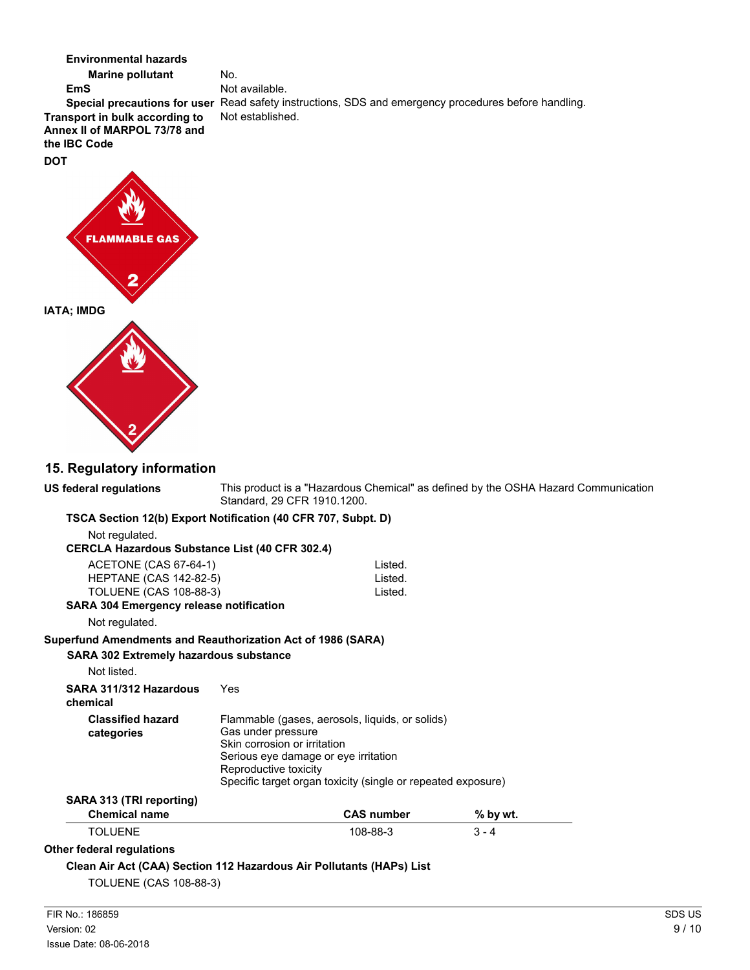